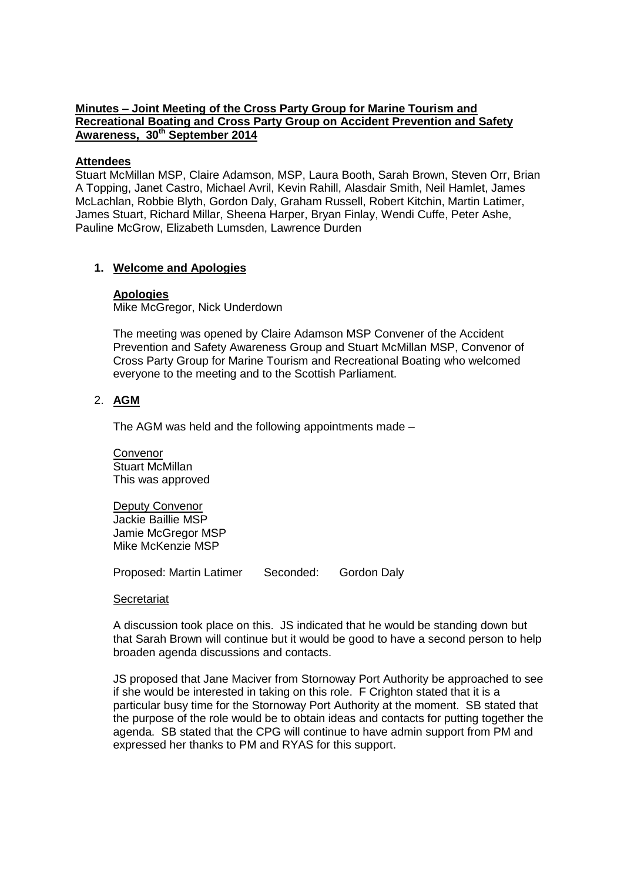# **Minutes – Joint Meeting of the Cross Party Group for Marine Tourism and Recreational Boating and Cross Party Group on Accident Prevention and Safety Awareness, 30th September 2014**

#### **Attendees**

Stuart McMillan MSP, Claire Adamson, MSP, Laura Booth, Sarah Brown, Steven Orr, Brian A Topping, Janet Castro, Michael Avril, Kevin Rahill, Alasdair Smith, Neil Hamlet, James McLachlan, Robbie Blyth, Gordon Daly, Graham Russell, Robert Kitchin, Martin Latimer, James Stuart, Richard Millar, Sheena Harper, Bryan Finlay, Wendi Cuffe, Peter Ashe, Pauline McGrow, Elizabeth Lumsden, Lawrence Durden

# **1. Welcome and Apologies**

#### **Apologies**

Mike McGregor, Nick Underdown

The meeting was opened by Claire Adamson MSP Convener of the Accident Prevention and Safety Awareness Group and Stuart McMillan MSP, Convenor of Cross Party Group for Marine Tourism and Recreational Boating who welcomed everyone to the meeting and to the Scottish Parliament.

#### 2. **AGM**

The AGM was held and the following appointments made –

Convenor Stuart McMillan This was approved

Deputy Convenor Jackie Baillie MSP Jamie McGregor MSP Mike McKenzie MSP

Proposed: Martin Latimer Seconded: Gordon Daly

#### **Secretariat**

A discussion took place on this. JS indicated that he would be standing down but that Sarah Brown will continue but it would be good to have a second person to help broaden agenda discussions and contacts.

JS proposed that Jane Maciver from Stornoway Port Authority be approached to see if she would be interested in taking on this role. F Crighton stated that it is a particular busy time for the Stornoway Port Authority at the moment. SB stated that the purpose of the role would be to obtain ideas and contacts for putting together the agenda. SB stated that the CPG will continue to have admin support from PM and expressed her thanks to PM and RYAS for this support.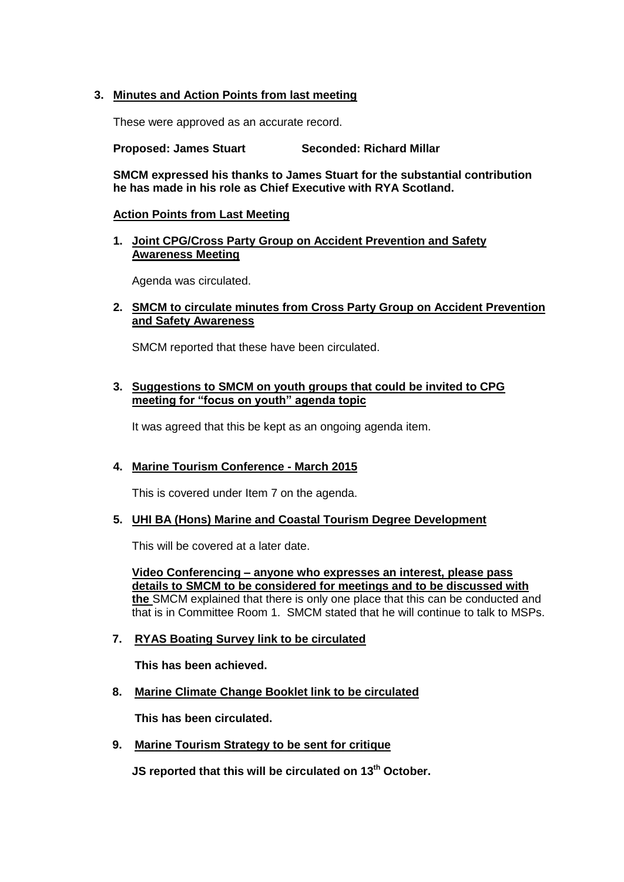# **3. Minutes and Action Points from last meeting**

These were approved as an accurate record.

**Proposed: James Stuart Seconded: Richard Millar**

**SMCM expressed his thanks to James Stuart for the substantial contribution he has made in his role as Chief Executive with RYA Scotland.**

#### **Action Points from Last Meeting**

**1. Joint CPG/Cross Party Group on Accident Prevention and Safety Awareness Meeting**

Agenda was circulated.

# **2. SMCM to circulate minutes from Cross Party Group on Accident Prevention and Safety Awareness**

SMCM reported that these have been circulated.

## **3. Suggestions to SMCM on youth groups that could be invited to CPG meeting for "focus on youth" agenda topic**

It was agreed that this be kept as an ongoing agenda item.

# **4. Marine Tourism Conference - March 2015**

This is covered under Item 7 on the agenda.

#### **5. UHI BA (Hons) Marine and Coastal Tourism Degree Development**

This will be covered at a later date.

**Video Conferencing – anyone who expresses an interest, please pass details to SMCM to be considered for meetings and to be discussed with the** SMCM explained that there is only one place that this can be conducted and that is in Committee Room 1. SMCM stated that he will continue to talk to MSPs.

#### **7. RYAS Boating Survey link to be circulated**

**This has been achieved.**

**8. Marine Climate Change Booklet link to be circulated**

**This has been circulated.**

**9. Marine Tourism Strategy to be sent for critique**

**JS reported that this will be circulated on 13th October.**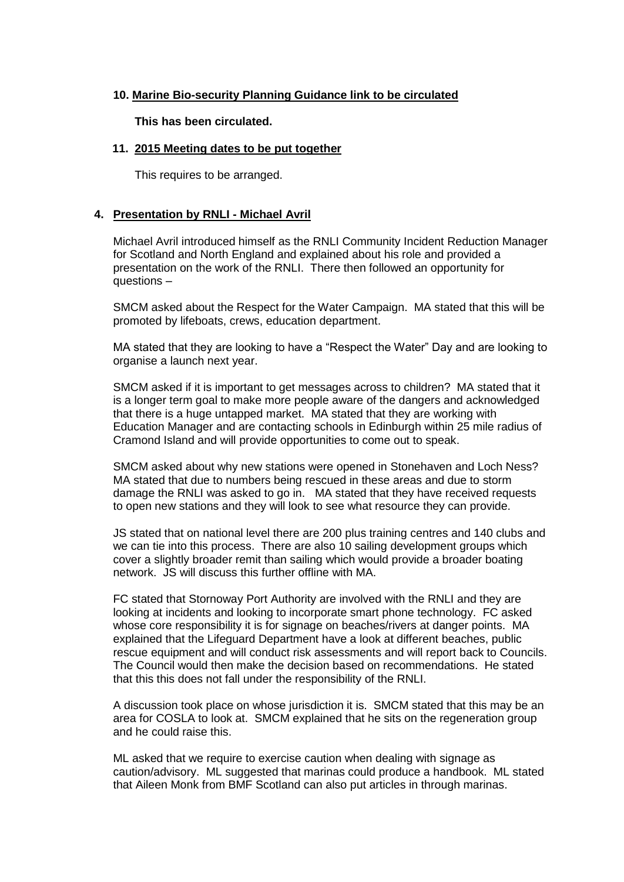# **10. Marine Bio-security Planning Guidance link to be circulated**

**This has been circulated.**

## **11. 2015 Meeting dates to be put together**

This requires to be arranged.

## **4. Presentation by RNLI - Michael Avril**

Michael Avril introduced himself as the RNLI Community Incident Reduction Manager for Scotland and North England and explained about his role and provided a presentation on the work of the RNLI. There then followed an opportunity for questions –

SMCM asked about the Respect for the Water Campaign. MA stated that this will be promoted by lifeboats, crews, education department.

MA stated that they are looking to have a "Respect the Water" Day and are looking to organise a launch next year.

SMCM asked if it is important to get messages across to children? MA stated that it is a longer term goal to make more people aware of the dangers and acknowledged that there is a huge untapped market. MA stated that they are working with Education Manager and are contacting schools in Edinburgh within 25 mile radius of Cramond Island and will provide opportunities to come out to speak.

SMCM asked about why new stations were opened in Stonehaven and Loch Ness? MA stated that due to numbers being rescued in these areas and due to storm damage the RNLI was asked to go in. MA stated that they have received requests to open new stations and they will look to see what resource they can provide.

JS stated that on national level there are 200 plus training centres and 140 clubs and we can tie into this process. There are also 10 sailing development groups which cover a slightly broader remit than sailing which would provide a broader boating network. JS will discuss this further offline with MA.

FC stated that Stornoway Port Authority are involved with the RNLI and they are looking at incidents and looking to incorporate smart phone technology. FC asked whose core responsibility it is for signage on beaches/rivers at danger points. MA explained that the Lifeguard Department have a look at different beaches, public rescue equipment and will conduct risk assessments and will report back to Councils. The Council would then make the decision based on recommendations. He stated that this this does not fall under the responsibility of the RNLI.

A discussion took place on whose jurisdiction it is. SMCM stated that this may be an area for COSLA to look at. SMCM explained that he sits on the regeneration group and he could raise this.

ML asked that we require to exercise caution when dealing with signage as caution/advisory. ML suggested that marinas could produce a handbook. ML stated that Aileen Monk from BMF Scotland can also put articles in through marinas.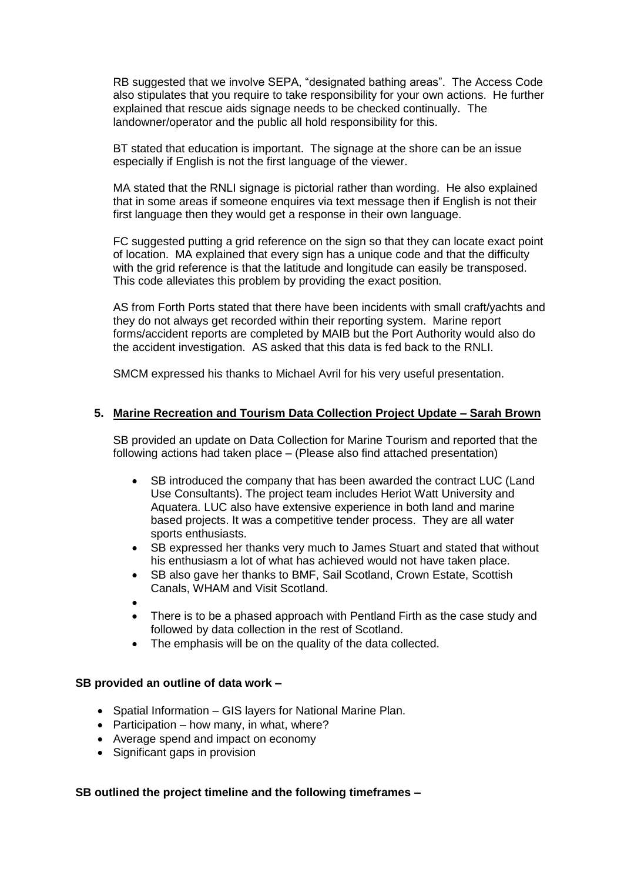RB suggested that we involve SEPA, "designated bathing areas". The Access Code also stipulates that you require to take responsibility for your own actions. He further explained that rescue aids signage needs to be checked continually. The landowner/operator and the public all hold responsibility for this.

BT stated that education is important. The signage at the shore can be an issue especially if English is not the first language of the viewer.

MA stated that the RNLI signage is pictorial rather than wording. He also explained that in some areas if someone enquires via text message then if English is not their first language then they would get a response in their own language.

FC suggested putting a grid reference on the sign so that they can locate exact point of location. MA explained that every sign has a unique code and that the difficulty with the grid reference is that the latitude and longitude can easily be transposed. This code alleviates this problem by providing the exact position.

AS from Forth Ports stated that there have been incidents with small craft/yachts and they do not always get recorded within their reporting system. Marine report forms/accident reports are completed by MAIB but the Port Authority would also do the accident investigation. AS asked that this data is fed back to the RNLI.

SMCM expressed his thanks to Michael Avril for his very useful presentation.

#### **5. Marine Recreation and Tourism Data Collection Project Update – Sarah Brown**

SB provided an update on Data Collection for Marine Tourism and reported that the following actions had taken place – (Please also find attached presentation)

- SB introduced the company that has been awarded the contract LUC (Land Use Consultants). The project team includes Heriot Watt University and Aquatera. LUC also have extensive experience in both land and marine based projects. It was a competitive tender process. They are all water sports enthusiasts.
- SB expressed her thanks very much to James Stuart and stated that without his enthusiasm a lot of what has achieved would not have taken place.
- SB also gave her thanks to BMF, Sail Scotland, Crown Estate, Scottish Canals, WHAM and Visit Scotland.
- $\bullet$
- There is to be a phased approach with Pentland Firth as the case study and followed by data collection in the rest of Scotland.
- The emphasis will be on the quality of the data collected.

## **SB provided an outline of data work –**

- Spatial Information GIS layers for National Marine Plan.
- Participation how many, in what, where?
- Average spend and impact on economy
- Significant gaps in provision

# **SB outlined the project timeline and the following timeframes –**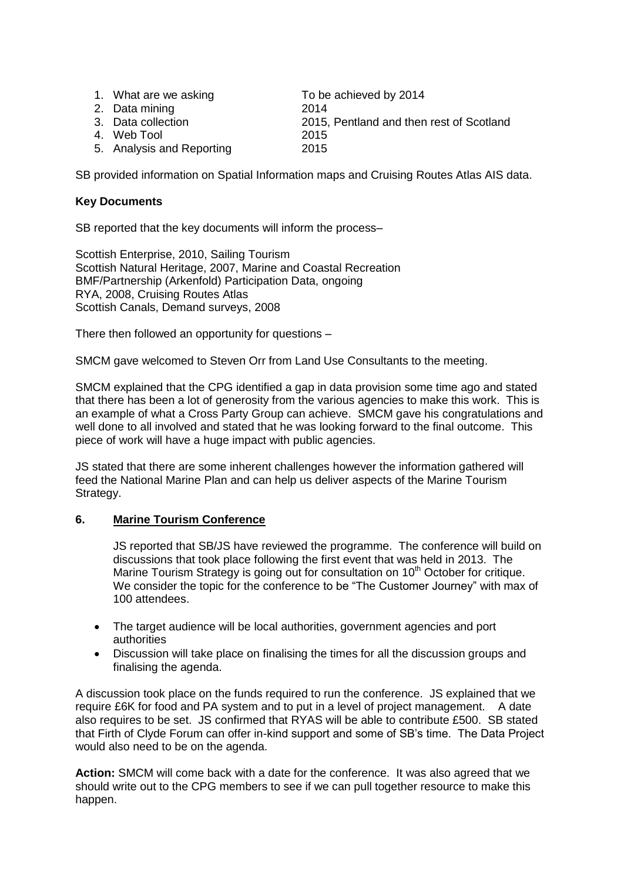| 1. What are we asking<br>2. Data mining<br>3. Data collection<br>4. Web Tool | To be achieved by 2014<br>2014<br>2015, Pentland and then rest of Scotland<br>2015 |
|------------------------------------------------------------------------------|------------------------------------------------------------------------------------|
| 5. Analysis and Reporting                                                    | 2015                                                                               |
|                                                                              |                                                                                    |

SB provided information on Spatial Information maps and Cruising Routes Atlas AIS data.

# **Key Documents**

SB reported that the key documents will inform the process–

Scottish Enterprise, 2010, Sailing Tourism Scottish Natural Heritage, 2007, Marine and Coastal Recreation BMF/Partnership (Arkenfold) Participation Data, ongoing RYA, 2008, Cruising Routes Atlas Scottish Canals, Demand surveys, 2008

There then followed an opportunity for questions –

SMCM gave welcomed to Steven Orr from Land Use Consultants to the meeting.

SMCM explained that the CPG identified a gap in data provision some time ago and stated that there has been a lot of generosity from the various agencies to make this work. This is an example of what a Cross Party Group can achieve. SMCM gave his congratulations and well done to all involved and stated that he was looking forward to the final outcome. This piece of work will have a huge impact with public agencies.

JS stated that there are some inherent challenges however the information gathered will feed the National Marine Plan and can help us deliver aspects of the Marine Tourism Strategy.

# **6. Marine Tourism Conference**

JS reported that SB/JS have reviewed the programme. The conference will build on discussions that took place following the first event that was held in 2013. The Marine Tourism Strategy is going out for consultation on  $10<sup>th</sup>$  October for critique. We consider the topic for the conference to be "The Customer Journey" with max of 100 attendees.

- The target audience will be local authorities, government agencies and port authorities
- Discussion will take place on finalising the times for all the discussion groups and finalising the agenda.

A discussion took place on the funds required to run the conference. JS explained that we require £6K for food and PA system and to put in a level of project management. A date also requires to be set. JS confirmed that RYAS will be able to contribute £500. SB stated that Firth of Clyde Forum can offer in-kind support and some of SB's time. The Data Project would also need to be on the agenda.

**Action:** SMCM will come back with a date for the conference. It was also agreed that we should write out to the CPG members to see if we can pull together resource to make this happen.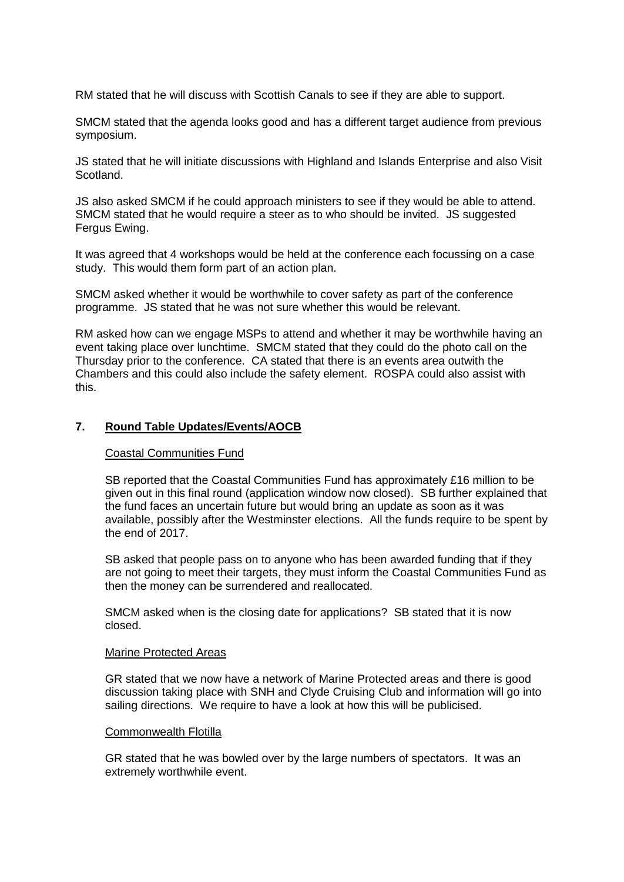RM stated that he will discuss with Scottish Canals to see if they are able to support.

SMCM stated that the agenda looks good and has a different target audience from previous symposium.

JS stated that he will initiate discussions with Highland and Islands Enterprise and also Visit Scotland.

JS also asked SMCM if he could approach ministers to see if they would be able to attend. SMCM stated that he would require a steer as to who should be invited. JS suggested Fergus Ewing.

It was agreed that 4 workshops would be held at the conference each focussing on a case study. This would them form part of an action plan.

SMCM asked whether it would be worthwhile to cover safety as part of the conference programme. JS stated that he was not sure whether this would be relevant.

RM asked how can we engage MSPs to attend and whether it may be worthwhile having an event taking place over lunchtime. SMCM stated that they could do the photo call on the Thursday prior to the conference. CA stated that there is an events area outwith the Chambers and this could also include the safety element. ROSPA could also assist with this.

#### **7. Round Table Updates/Events/AOCB**

#### Coastal Communities Fund

SB reported that the Coastal Communities Fund has approximately £16 million to be given out in this final round (application window now closed). SB further explained that the fund faces an uncertain future but would bring an update as soon as it was available, possibly after the Westminster elections. All the funds require to be spent by the end of 2017.

SB asked that people pass on to anyone who has been awarded funding that if they are not going to meet their targets, they must inform the Coastal Communities Fund as then the money can be surrendered and reallocated.

SMCM asked when is the closing date for applications? SB stated that it is now closed.

#### Marine Protected Areas

GR stated that we now have a network of Marine Protected areas and there is good discussion taking place with SNH and Clyde Cruising Club and information will go into sailing directions. We require to have a look at how this will be publicised.

#### Commonwealth Flotilla

GR stated that he was bowled over by the large numbers of spectators. It was an extremely worthwhile event.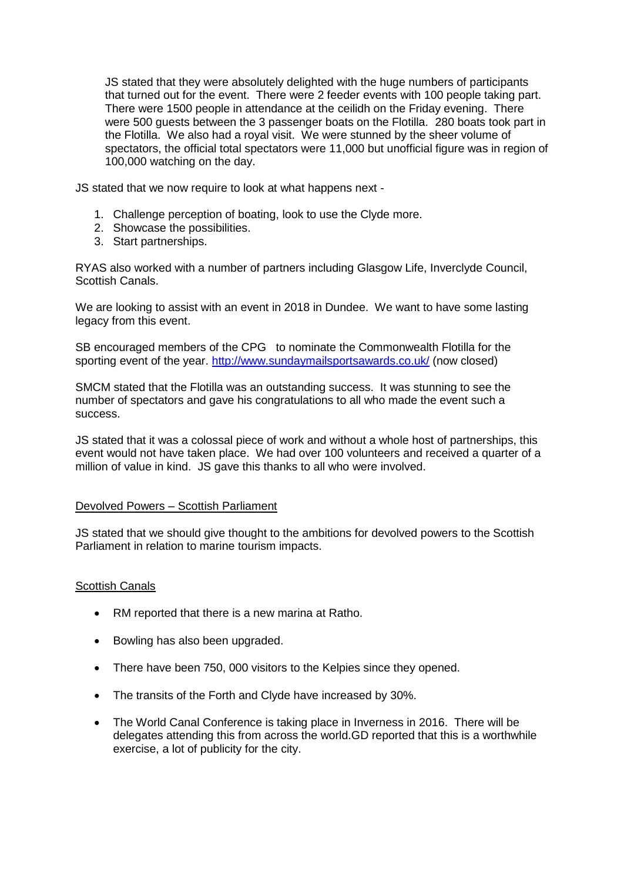JS stated that they were absolutely delighted with the huge numbers of participants that turned out for the event. There were 2 feeder events with 100 people taking part. There were 1500 people in attendance at the ceilidh on the Friday evening. There were 500 guests between the 3 passenger boats on the Flotilla. 280 boats took part in the Flotilla. We also had a royal visit. We were stunned by the sheer volume of spectators, the official total spectators were 11,000 but unofficial figure was in region of 100,000 watching on the day.

JS stated that we now require to look at what happens next -

- 1. Challenge perception of boating, look to use the Clyde more.
- 2. Showcase the possibilities.
- 3. Start partnerships.

RYAS also worked with a number of partners including Glasgow Life, Inverclyde Council, Scottish Canals.

We are looking to assist with an event in 2018 in Dundee. We want to have some lasting legacy from this event.

SB encouraged members of the CPG to nominate the Commonwealth Flotilla for the sporting event of the year. <http://www.sundaymailsportsawards.co.uk/> (now closed)

SMCM stated that the Flotilla was an outstanding success. It was stunning to see the number of spectators and gave his congratulations to all who made the event such a success.

JS stated that it was a colossal piece of work and without a whole host of partnerships, this event would not have taken place. We had over 100 volunteers and received a quarter of a million of value in kind. JS gave this thanks to all who were involved.

#### Devolved Powers – Scottish Parliament

JS stated that we should give thought to the ambitions for devolved powers to the Scottish Parliament in relation to marine tourism impacts.

#### **Scottish Canals**

- RM reported that there is a new marina at Ratho.
- Bowling has also been upgraded.
- There have been 750, 000 visitors to the Kelpies since they opened.
- The transits of the Forth and Clyde have increased by 30%.
- The World Canal Conference is taking place in Inverness in 2016. There will be delegates attending this from across the world.GD reported that this is a worthwhile exercise, a lot of publicity for the city.